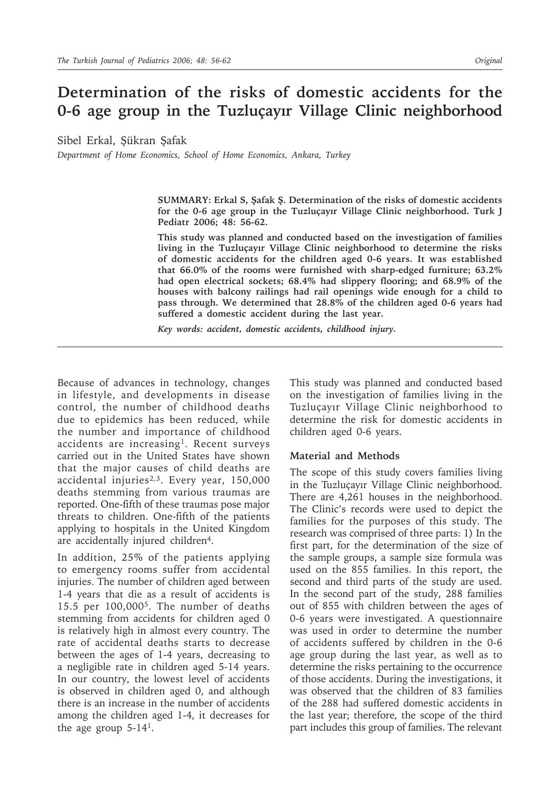# **Determination of the risks of domestic accidents for the 0-6 age group in the Tuzluçayır Village Clinic neighborhood**

Sibel Erkal, Şükran Şafak

*Department of Home Economics, School of Home Economics, Ankara, Turkey*

**SUMMARY: Erkal S, Şafak Ş. Determination of the risks of domestic accidents for the 0-6 age group in the Tuzluçayır Village Clinic neighborhood. Turk J Pediatr 2006; 48: 56-62.**

**This study was planned and conducted based on the investigation of families living in the Tuzluçayır Village Clinic neighborhood to determine the risks of domestic accidents for the children aged 0-6 years. It was established that 66.0% of the rooms were furnished with sharp-edged furniture; 63.2% had open electrical sockets; 68.4% had slippery flooring; and 68.9% of the houses with balcony railings had rail openings wide enough for a child to pass through. We determined that 28.8% of the children aged 0-6 years had suffered a domestic accident during the last year.**

*Key words: accident, domestic accidents, childhood injury.*

Because of advances in technology, changes in lifestyle, and developments in disease control, the number of childhood deaths due to epidemics has been reduced, while the number and importance of childhood accidents are increasing<sup>1</sup>. Recent surveys carried out in the United States have shown that the major causes of child deaths are accidental injuries<sup>2,3</sup>. Every year, 150,000 deaths stemming from various traumas are reported. One-fifth of these traumas pose major threats to children. One-fifth of the patients applying to hospitals in the United Kingdom are accidentally injured children<sup>4</sup>.

In addition, 25% of the patients applying to emergency rooms suffer from accidental injuries. The number of children aged between 1-4 years that die as a result of accidents is 15.5 per 100,0005. The number of deaths stemming from accidents for children aged 0 is relatively high in almost every country. The rate of accidental deaths starts to decrease between the ages of 1-4 years, decreasing to a negligible rate in children aged 5-14 years. In our country, the lowest level of accidents is observed in children aged 0, and although there is an increase in the number of accidents among the children aged 1-4, it decreases for the age group  $5-14<sup>1</sup>$ .

This study was planned and conducted based on the investigation of families living in the Tuzluçayır Village Clinic neighborhood to determine the risk for domestic accidents in children aged 0-6 years.

### **Material and Methods**

The scope of this study covers families living in the Tuzluçayır Village Clinic neighborhood. There are 4,261 houses in the neighborhood. The Clinic's records were used to depict the families for the purposes of this study. The research was comprised of three parts: 1) In the first part, for the determination of the size of the sample groups, a sample size formula was used on the 855 families. In this report, the second and third parts of the study are used. In the second part of the study, 288 families out of 855 with children between the ages of 0-6 years were investigated. A questionnaire was used in order to determine the number of accidents suffered by children in the 0-6 age group during the last year, as well as to determine the risks pertaining to the occurrence of those accidents. During the investigations, it was observed that the children of 83 families of the 288 had suffered domestic accidents in the last year; therefore, the scope of the third part includes this group of families. The relevant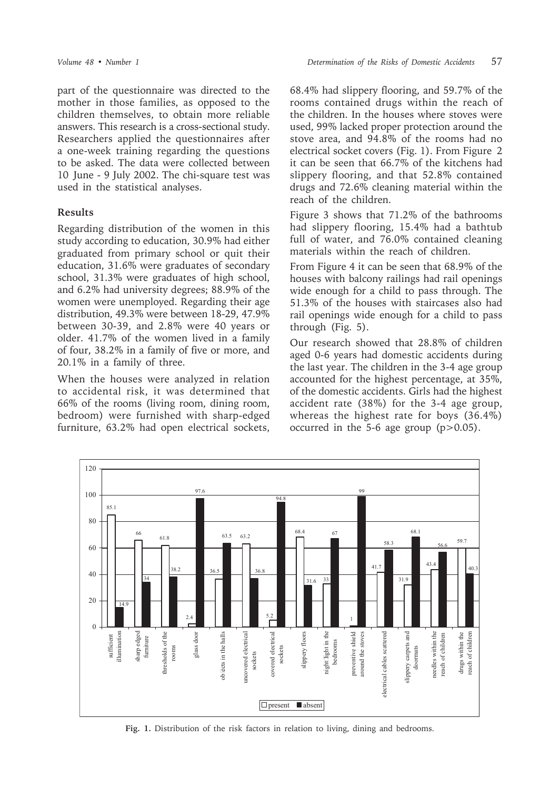part of the questionnaire was directed to the mother in those families, as opposed to the children themselves, to obtain more reliable answers. This research is a cross-sectional study. Researchers applied the questionnaires after a one-week training regarding the questions to be asked. The data were collected between 10 June - 9 July 2002. The chi-square test was used in the statistical analyses.

## **Results**

Regarding distribution of the women in this study according to education, 30.9% had either graduated from primary school or quit their education, 31.6% were graduates of secondary school, 31.3% were graduates of high school, and 6.2% had university degrees; 88.9% of the women were unemployed. Regarding their age distribution, 49.3% were between 18-29, 47.9% between 30-39, and 2.8% were 40 years or older. 41.7% of the women lived in a family of four, 38.2% in a family of five or more, and 20.1% in a family of three.

When the houses were analyzed in relation to accidental risk, it was determined that 66% of the rooms (living room, dining room, bedroom) were furnished with sharp-edged furniture, 63.2% had open electrical sockets,

68.4% had slippery flooring, and 59.7% of the rooms contained drugs within the reach of the children. In the houses where stoves were used, 99% lacked proper protection around the stove area, and 94.8% of the rooms had no electrical socket covers (Fig. 1). From Figure 2 it can be seen that 66.7% of the kitchens had slippery flooring, and that 52.8% contained drugs and 72.6% cleaning material within the reach of the children.

Figure 3 shows that 71.2% of the bathrooms had slippery flooring, 15.4% had a bathtub full of water, and 76.0% contained cleaning materials within the reach of children.

From Figure 4 it can be seen that 68.9% of the houses with balcony railings had rail openings wide enough for a child to pass through. The 51.3% of the houses with staircases also had rail openings wide enough for a child to pass through (Fig. 5).

Our research showed that 28.8% of children aged 0-6 years had domestic accidents during the last year. The children in the 3-4 age group accounted for the highest percentage, at 35%, of the domestic accidents. Girls had the highest accident rate (38%) for the 3-4 age group, whereas the highest rate for boys (36.4%) occurred in the 5-6 age group  $(p>0.05)$ .



**Fig. 1.** Distribution of the risk factors in relation to living, dining and bedrooms.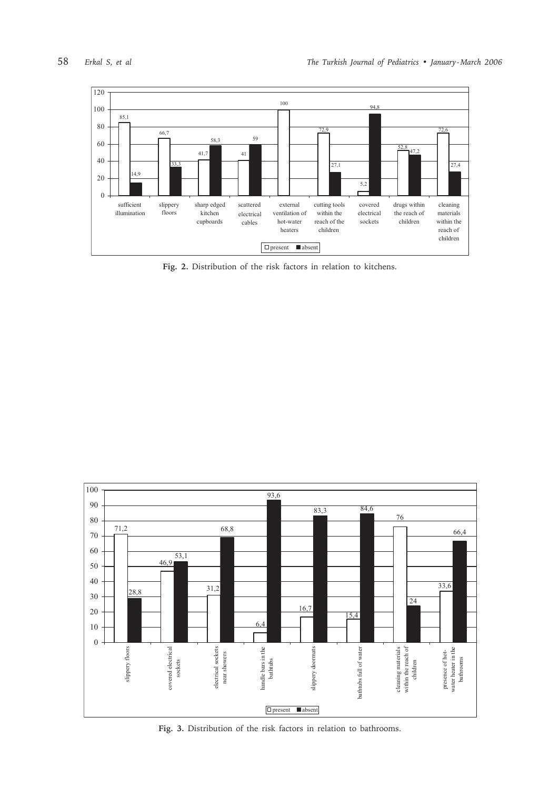

**Fig. 2.** Distribution of the risk factors in relation to kitchens.



**Fig. 3.** Distribution of the risk factors in relation to bathrooms.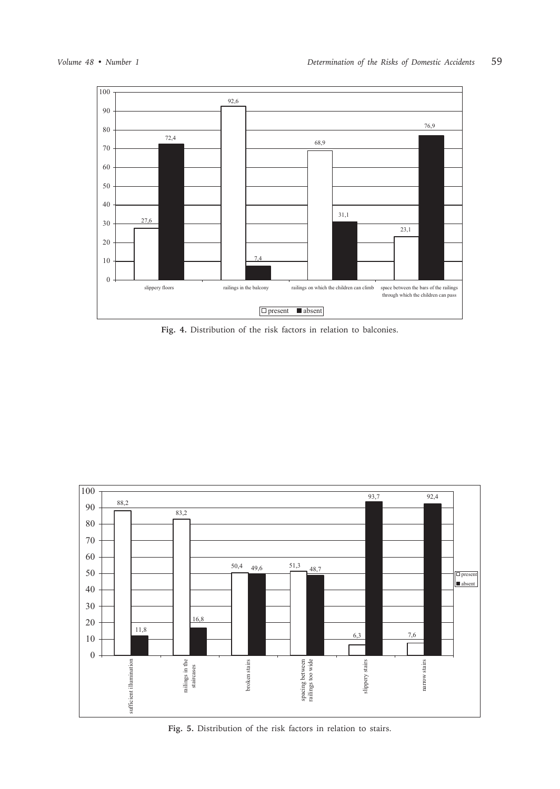

**Fig. 4.** Distribution of the risk factors in relation to balconies.



**Fig. 5.** Distribution of the risk factors in relation to stairs.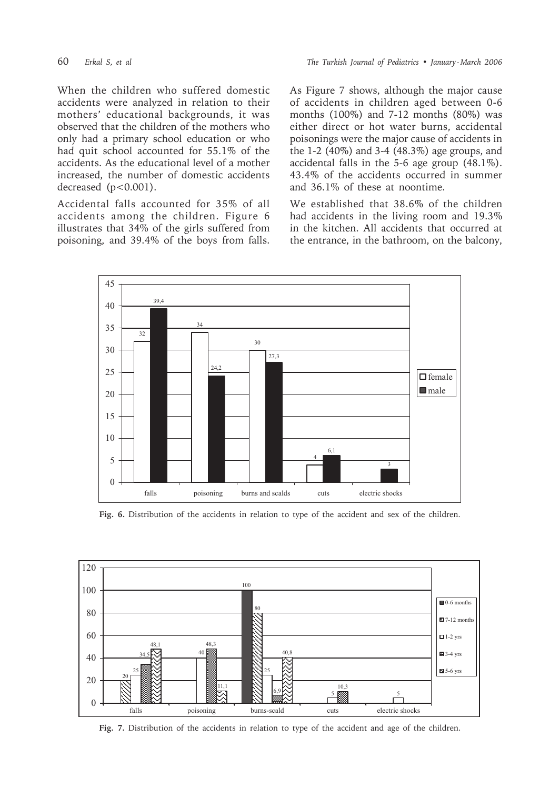When the children who suffered domestic accidents were analyzed in relation to their mothers' educational backgrounds, it was observed that the children of the mothers who only had a primary school education or who had quit school accounted for 55.1% of the accidents. As the educational level of a mother increased, the number of domestic accidents decreased (p<0.001).

Accidental falls accounted for 35% of all accidents among the children. Figure 6 illustrates that 34% of the girls suffered from poisoning, and 39.4% of the boys from falls. As Figure 7 shows, although the major cause of accidents in children aged between 0-6 months  $(100\%)$  and  $7-12$  months  $(80\%)$  was either direct or hot water burns, accidental poisonings were the major cause of accidents in the 1-2 (40%) and 3-4 (48.3%) age groups, and accidental falls in the 5-6 age group (48.1%). 43.4% of the accidents occurred in summer and 36.1% of these at noontime.

We established that 38.6% of the children had accidents in the living room and 19.3% in the kitchen. All accidents that occurred at the entrance, in the bathroom, on the balcony,



Fig. 6. Distribution of the accidents in relation to type of the accident and sex of the children.



Fig. 7. Distribution of the accidents in relation to type of the accident and age of the children.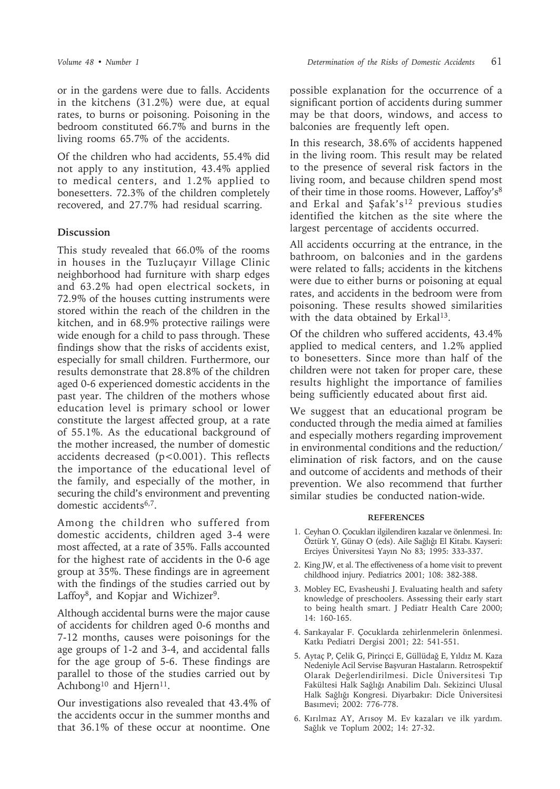or in the gardens were due to falls. Accidents in the kitchens (31.2%) were due, at equal rates, to burns or poisoning. Poisoning in the bedroom constituted 66.7% and burns in the living rooms 65.7% of the accidents.

Of the children who had accidents, 55.4% did not apply to any institution, 43.4% applied to medical centers, and 1.2% applied to bonesetters. 72.3% of the children completely recovered, and 27.7% had residual scarring.

## **Discussion**

This study revealed that 66.0% of the rooms in houses in the Tuzluçayır Village Clinic neighborhood had furniture with sharp edges and 63.2% had open electrical sockets, in 72.9% of the houses cutting instruments were stored within the reach of the children in the kitchen, and in 68.9% protective railings were wide enough for a child to pass through. These findings show that the risks of accidents exist, especially for small children. Furthermore, our results demonstrate that 28.8% of the children aged 0-6 experienced domestic accidents in the past year. The children of the mothers whose education level is primary school or lower constitute the largest affected group, at a rate of 55.1%. As the educational background of the mother increased, the number of domestic accidents decreased (p<0.001). This reflects the importance of the educational level of the family, and especially of the mother, in securing the child's environment and preventing domestic accidents6,7.

Among the children who suffered from domestic accidents, children aged 3-4 were most affected, at a rate of 35%. Falls accounted for the highest rate of accidents in the 0-6 age group at 35%. These findings are in agreement with the findings of the studies carried out by Laffoy<sup>8</sup>, and Kopjar and Wichizer<sup>9</sup>.

Although accidental burns were the major cause of accidents for children aged 0-6 months and 7-12 months, causes were poisonings for the age groups of 1-2 and 3-4, and accidental falls for the age group of 5-6. These findings are parallel to those of the studies carried out by Achibong<sup>10</sup> and Hjern<sup>11</sup>.

Our investigations also revealed that 43.4% of the accidents occur in the summer months and that 36.1% of these occur at noontime. One

possible explanation for the occurrence of a significant portion of accidents during summer may be that doors, windows, and access to balconies are frequently left open.

In this research, 38.6% of accidents happened in the living room. This result may be related to the presence of several risk factors in the living room, and because children spend most of their time in those rooms. However, Laffoy's8 and Erkal and Şafak's12 previous studies identified the kitchen as the site where the largest percentage of accidents occurred.

All accidents occurring at the entrance, in the bathroom, on balconies and in the gardens were related to falls; accidents in the kitchens were due to either burns or poisoning at equal rates, and accidents in the bedroom were from poisoning. These results showed similarities with the data obtained by Erkal<sup>13</sup>.

Of the children who suffered accidents, 43.4% applied to medical centers, and 1.2% applied to bonesetters. Since more than half of the children were not taken for proper care, these results highlight the importance of families being sufficiently educated about first aid.

We suggest that an educational program be conducted through the media aimed at families and especially mothers regarding improvement in environmental conditions and the reduction/ elimination of risk factors, and on the cause and outcome of accidents and methods of their prevention. We also recommend that further similar studies be conducted nation-wide.

### **REFERENCES**

- 1. Ceyhan O. Çocukları ilgilendiren kazalar ve önlenmesi. In: Öztürk Y, Günay O (eds). Aile Sağlığı El Kitabı. Kayseri: Erciyes Üniversitesi Yayın No 83; 1995: 333-337.
- 2. King JW, et al. The effectiveness of a home visit to prevent childhood injury. Pediatrics 2001; 108: 382-388.
- 3. Mobley EC, Evasheushi J. Evaluating health and safety knowledge of preschoolers. Assessing their early start to being health smart. J Pediatr Health Care 2000; 14: 160-165.
- 4. Sarıkayalar F. Çocuklarda zehirlenmelerin önlenmesi. Katkı Pediatri Dergisi 2001; 22: 541-551.
- 5. Aytaç P, Çelik G, Pirinçci E, Güllüdağ E, Yıldız M. Kaza Nedeniyle Acil Servise Başvuran Hastaların. Retrospektif Olarak Değerlendirilmesi. Dicle Üniversitesi Tıp Fakültesi Halk Sağlığı Anabilim Dalı. Sekizinci Ulusal Halk Sağlığı Kongresi. Diyarbakır: Dicle Üniversitesi Basımevi; 2002: 776-778.
- 6. Kırılmaz AY, Arısoy M. Ev kazaları ve ilk yardım. Sağlık ve Toplum 2002; 14: 27-32.